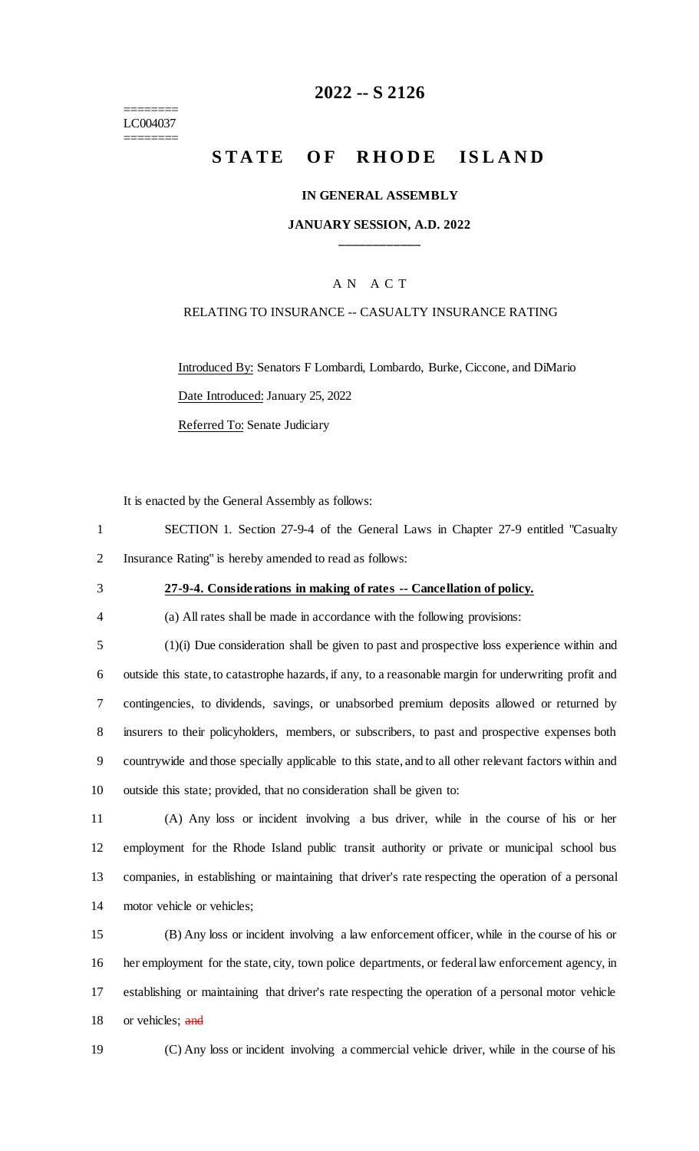======== LC004037 ========

## **2022 -- S 2126**

# **STATE OF RHODE ISLAND**

#### **IN GENERAL ASSEMBLY**

#### **JANUARY SESSION, A.D. 2022 \_\_\_\_\_\_\_\_\_\_\_\_**

#### A N A C T

#### RELATING TO INSURANCE -- CASUALTY INSURANCE RATING

Introduced By: Senators F Lombardi, Lombardo, Burke, Ciccone, and DiMario Date Introduced: January 25, 2022 Referred To: Senate Judiciary

It is enacted by the General Assembly as follows:

| SECTION 1. Section 27-9-4 of the General Laws in Chapter 27-9 entitled "Casualty" |
|-----------------------------------------------------------------------------------|
| 2 Insurance Rating" is hereby amended to read as follows:                         |

#### 3 **27-9-4. Considerations in making of rates -- Cancellation of policy.**

4 (a) All rates shall be made in accordance with the following provisions:

 (1)(i) Due consideration shall be given to past and prospective loss experience within and outside this state, to catastrophe hazards, if any, to a reasonable margin for underwriting profit and contingencies, to dividends, savings, or unabsorbed premium deposits allowed or returned by insurers to their policyholders, members, or subscribers, to past and prospective expenses both countrywide and those specially applicable to this state, and to all other relevant factors within and outside this state; provided, that no consideration shall be given to:

 (A) Any loss or incident involving a bus driver, while in the course of his or her employment for the Rhode Island public transit authority or private or municipal school bus companies, in establishing or maintaining that driver's rate respecting the operation of a personal motor vehicle or vehicles;

 (B) Any loss or incident involving a law enforcement officer, while in the course of his or her employment for the state, city, town police departments, or federal law enforcement agency, in establishing or maintaining that driver's rate respecting the operation of a personal motor vehicle 18 or vehicles; and

19 (C) Any loss or incident involving a commercial vehicle driver, while in the course of his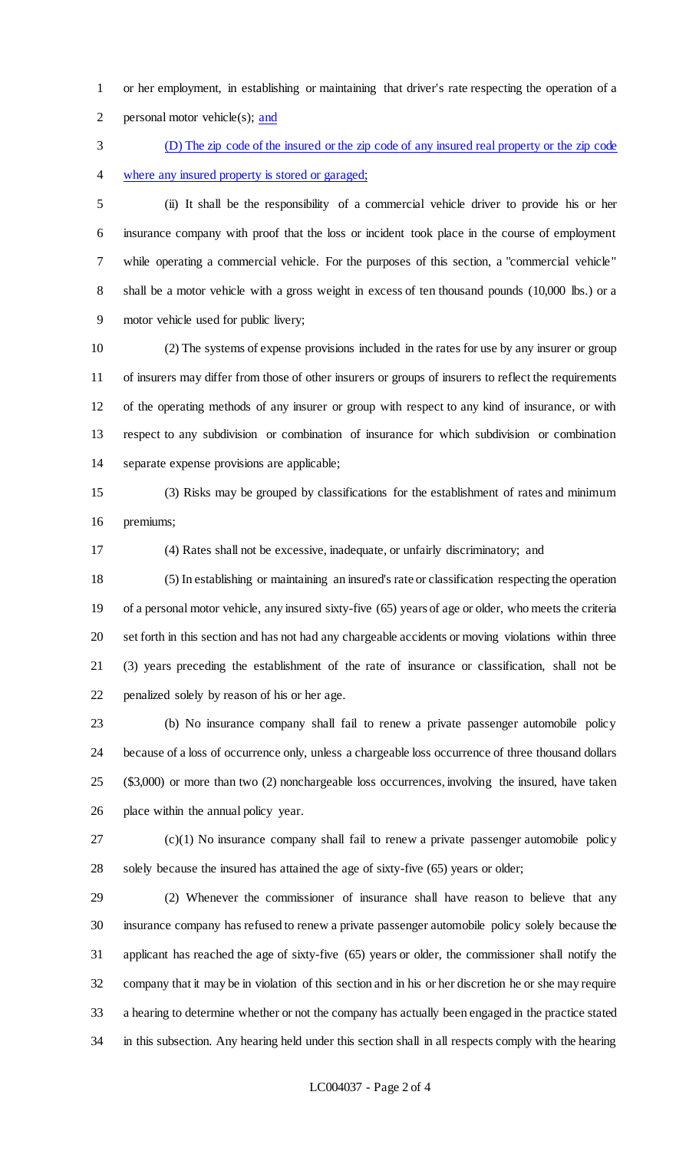or her employment, in establishing or maintaining that driver's rate respecting the operation of a personal motor vehicle(s); and

 (D) The zip code of the insured or the zip code of any insured real property or the zip code where any insured property is stored or garaged;

 (ii) It shall be the responsibility of a commercial vehicle driver to provide his or her insurance company with proof that the loss or incident took place in the course of employment while operating a commercial vehicle. For the purposes of this section, a "commercial vehicle" 8 shall be a motor vehicle with a gross weight in excess of ten thousand pounds (10,000 lbs.) or a motor vehicle used for public livery;

 (2) The systems of expense provisions included in the rates for use by any insurer or group of insurers may differ from those of other insurers or groups of insurers to reflect the requirements of the operating methods of any insurer or group with respect to any kind of insurance, or with respect to any subdivision or combination of insurance for which subdivision or combination separate expense provisions are applicable;

 (3) Risks may be grouped by classifications for the establishment of rates and minimum premiums;

(4) Rates shall not be excessive, inadequate, or unfairly discriminatory; and

 (5) In establishing or maintaining an insured's rate or classification respecting the operation of a personal motor vehicle, any insured sixty-five (65) years of age or older, who meets the criteria set forth in this section and has not had any chargeable accidents or moving violations within three (3) years preceding the establishment of the rate of insurance or classification, shall not be penalized solely by reason of his or her age.

 (b) No insurance company shall fail to renew a private passenger automobile policy because of a loss of occurrence only, unless a chargeable loss occurrence of three thousand dollars (\$3,000) or more than two (2) nonchargeable loss occurrences, involving the insured, have taken place within the annual policy year.

 (c)(1) No insurance company shall fail to renew a private passenger automobile policy solely because the insured has attained the age of sixty-five (65) years or older;

 (2) Whenever the commissioner of insurance shall have reason to believe that any insurance company has refused to renew a private passenger automobile policy solely because the applicant has reached the age of sixty-five (65) years or older, the commissioner shall notify the company that it may be in violation of this section and in his or her discretion he or she may require a hearing to determine whether or not the company has actually been engaged in the practice stated in this subsection. Any hearing held under this section shall in all respects comply with the hearing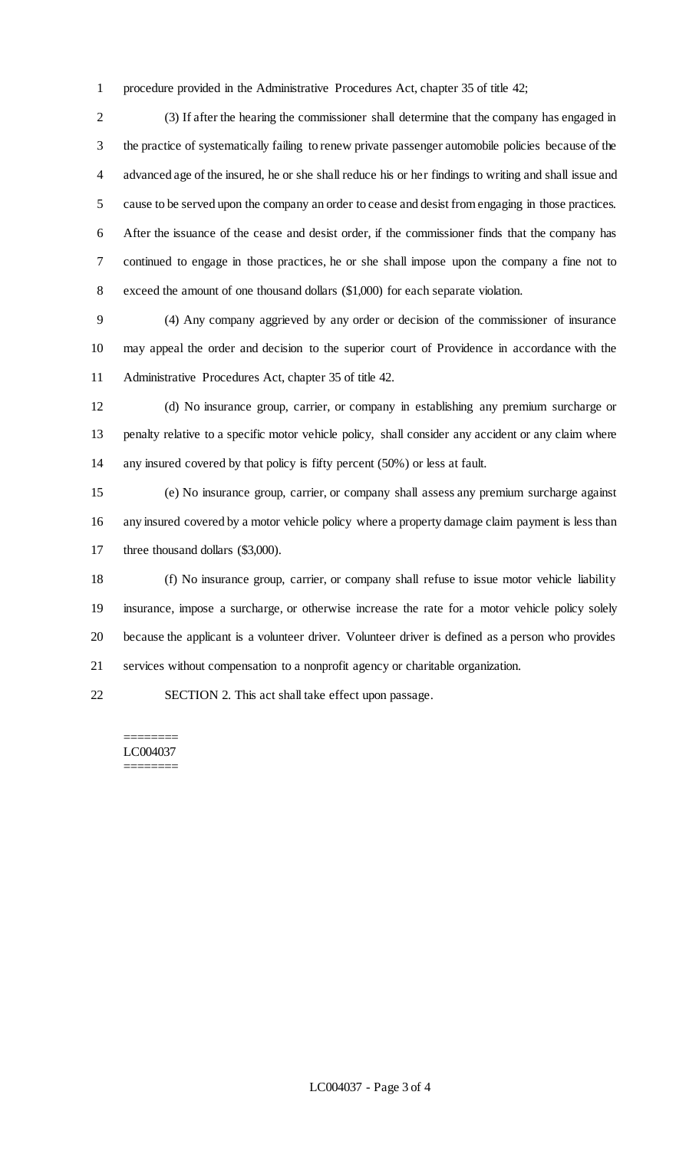procedure provided in the Administrative Procedures Act, chapter 35 of title 42;

 (3) If after the hearing the commissioner shall determine that the company has engaged in the practice of systematically failing to renew private passenger automobile policies because of the advanced age of the insured, he or she shall reduce his or her findings to writing and shall issue and cause to be served upon the company an order to cease and desist from engaging in those practices. After the issuance of the cease and desist order, if the commissioner finds that the company has continued to engage in those practices, he or she shall impose upon the company a fine not to exceed the amount of one thousand dollars (\$1,000) for each separate violation.

 (4) Any company aggrieved by any order or decision of the commissioner of insurance may appeal the order and decision to the superior court of Providence in accordance with the Administrative Procedures Act, chapter 35 of title 42.

 (d) No insurance group, carrier, or company in establishing any premium surcharge or penalty relative to a specific motor vehicle policy, shall consider any accident or any claim where any insured covered by that policy is fifty percent (50%) or less at fault.

 (e) No insurance group, carrier, or company shall assess any premium surcharge against any insured covered by a motor vehicle policy where a property damage claim payment is less than 17 three thousand dollars (\$3,000).

 (f) No insurance group, carrier, or company shall refuse to issue motor vehicle liability insurance, impose a surcharge, or otherwise increase the rate for a motor vehicle policy solely because the applicant is a volunteer driver. Volunteer driver is defined as a person who provides services without compensation to a nonprofit agency or charitable organization.

SECTION 2. This act shall take effect upon passage.

#### ======== LC004037

========